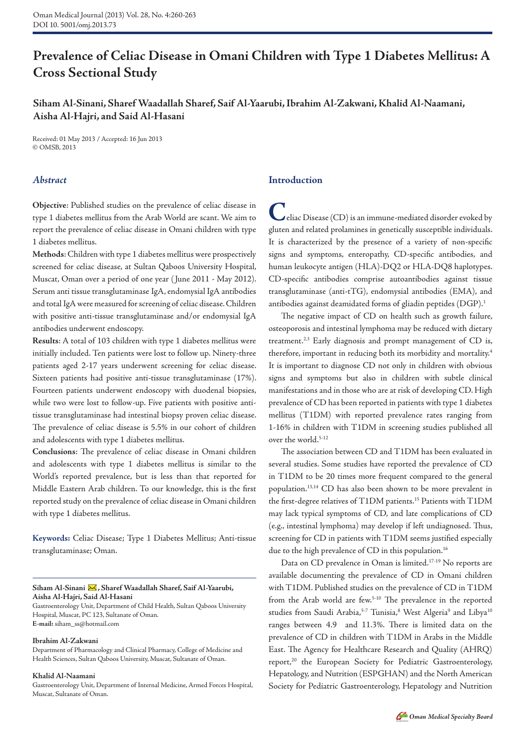# **Prevalence of Celiac Disease in Omani Children with Type 1 Diabetes Mellitus: A Cross Sectional Study**

## **Siham Al-Sinani, Sharef Waadallah Sharef, Saif Al-Yaarubi, Ibrahim Al-Zakwani, Khalid Al-Naamani, Aisha Al-Hajri, and Said Al-Hasani**

Received: 01 May 2013 / Accepted: 16 Jun 2013 © OMSB, 2013

## *Abstract*

**Objective**: Published studies on the prevalence of celiac disease in type 1 diabetes mellitus from the Arab World are scant. We aim to report the prevalence of celiac disease in Omani children with type 1 diabetes mellitus.

**Methods**: Children with type 1 diabetes mellitus were prospectively screened for celiac disease, at Sultan Qaboos University Hospital, Muscat, Oman over a period of one year ( June 2011 - May 2012). Serum anti tissue transglutaminase IgA, endomysial IgA antibodies and total IgA were measured for screening of celiac disease. Children with positive anti-tissue transglutaminase and/or endomysial IgA antibodies underwent endoscopy.

**Results**: A total of 103 children with type 1 diabetes mellitus were initially included. Ten patients were lost to follow up. Ninety-three patients aged 2-17 years underwent screening for celiac disease. Sixteen patients had positive anti-tissue transglutaminase (17%). Fourteen patients underwent endoscopy with duodenal biopsies, while two were lost to follow-up. Five patients with positive antitissue transglutaminase had intestinal biopsy proven celiac disease. The prevalence of celiac disease is 5.5% in our cohort of children and adolescents with type 1 diabetes mellitus.

**Conclusions**: The prevalence of celiac disease in Omani children and adolescents with type 1 diabetes mellitus is similar to the World's reported prevalence, but is less than that reported for Middle Eastern Arab children. To our knowledge, this is the first reported study on the prevalence of celiac disease in Omani children with type 1 diabetes mellitus.

**Keywords:** Celiac Disease; Type 1 Diabetes Mellitus; Anti-tissue transglutaminase; Oman.

#### Siham Al-Sinani X, Sharef Waadallah Sharef, Saif Al-Yaarubi, **Aisha Al-Hajri, Said Al-Hasani**

Gastroenterology Unit, Department of Child Health, Sultan Qaboos University Hospital, Muscat, PC 123, Sultanate of Oman. **E-mail:** siham\_ss@hotmail.com

#### **Ibrahim Al-Zakwani**

Department of Pharmacology and Clinical Pharmacy, College of Medicine and Health Sciences, Sultan Qaboos University, Muscat, Sultanate of Oman.

#### **Khalid Al-Naamani**

Gastroenterology Unit, Department of Internal Medicine, Armed Forces Hospital, Muscat, Sultanate of Oman.

## **Introduction**

**C**eliac Disease (CD) is an immune-mediated disorder evoked by gluten and related prolamines in genetically susceptible individuals. It is characterized by the presence of a variety of non-specific signs and symptoms, enteropathy, CD-specific antibodies, and human leukocyte antigen (HLA)-DQ2 or HLA-DQ8 haplotypes. CD-specific antibodies comprise autoantibodies against tissue transglutaminase (anti-tTG), endomysial antibodies (EMA), and antibodies against deamidated forms of gliadin peptides (DGP).<sup>1</sup>

The negative impact of CD on health such as growth failure, osteoporosis and intestinal lymphoma may be reduced with dietary treatment. $2,3$  Early diagnosis and prompt management of CD is, therefore, important in reducing both its morbidity and mortality.4 It is important to diagnose CD not only in children with obvious signs and symptoms but also in children with subtle clinical manifestations and in those who are at risk of developing CD. High prevalence of CD has been reported in patients with type 1 diabetes mellitus (T1DM) with reported prevalence rates ranging from 1-16% in children with T1DM in screening studies published all over the world.<sup>5-12</sup>

The association between CD and T1DM has been evaluated in several studies. Some studies have reported the prevalence of CD in T1DM to be 20 times more frequent compared to the general population.13,14 CD has also been shown to be more prevalent in the first-degree relatives of T1DM patients.15 Patients with T1DM may lack typical symptoms of CD, and late complications of CD (e.g., intestinal lymphoma) may develop if left undiagnosed. Thus, screening for CD in patients with T1DM seems justified especially due to the high prevalence of CD in this population.<sup>16</sup>

Data on CD prevalence in Oman is limited.<sup>17-19</sup> No reports are available documenting the prevalence of CD in Omani children with T1DM. Published studies on the prevalence of CD in T1DM from the Arab world are few.5-10 The prevalence in the reported studies from Saudi Arabia,<sup>5-7</sup> Tunisia,<sup>8</sup> West Algeria<sup>9</sup> and Libya<sup>10</sup> ranges between 4.9 and 11.3%. There is limited data on the prevalence of CD in children with T1DM in Arabs in the Middle East. The Agency for Healthcare Research and Quality (AHRQ) report,<sup>20</sup> the European Society for Pediatric Gastroenterology, Hepatology, and Nutrition (ESPGHAN) and the North American Society for Pediatric Gastroenterology, Hepatology and Nutrition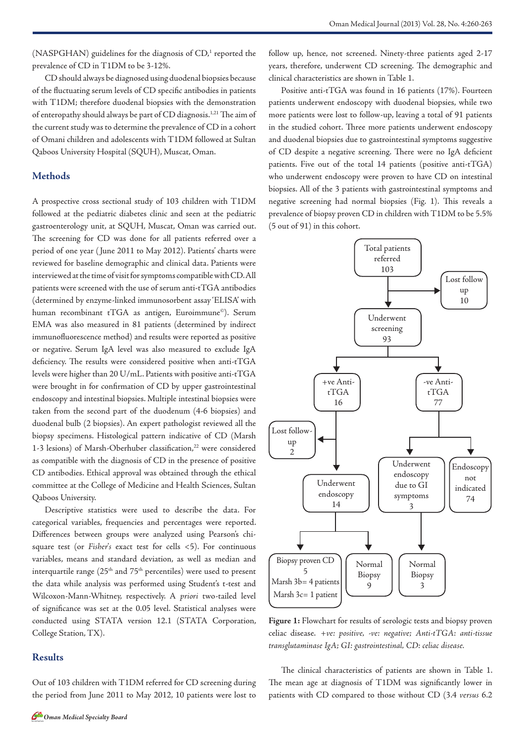(NASPGHAN) guidelines for the diagnosis of CD,<sup>1</sup> reported the prevalence of CD in T1DM to be 3-12%.

CD should always be diagnosed using duodenal biopsies because of the fluctuating serum levels of CD specific antibodies in patients with T1DM; therefore duodenal biopsies with the demonstration of enteropathy should always be part of CD diagnosis.1,21 The aim of the current study was to determine the prevalence of CD in a cohort of Omani children and adolescents with T1DM followed at Sultan Qaboos University Hospital (SQUH), Muscat, Oman.

## **Methods**

A prospective cross sectional study of 103 children with T1DM followed at the pediatric diabetes clinic and seen at the pediatric gastroenterology unit, at SQUH, Muscat, Oman was carried out. The screening for CD was done for all patients referred over a period of one year ( June 2011 to May 2012). Patients' charts were reviewed for baseline demographic and clinical data. Patients were interviewed at the time of visit for symptoms compatible with CD. All patients were screened with the use of serum anti-tTGA antibodies (determined by enzyme-linked immunosorbent assay 'ELISA' with human recombinant tTGA as antigen, Euroimmune<sup>©</sup>). Serum EMA was also measured in 81 patients (determined by indirect immunofluorescence method) and results were reported as positive or negative. Serum IgA level was also measured to exclude IgA deficiency. The results were considered positive when anti-tTGA levels were higher than 20 U/mL. Patients with positive anti-tTGA were brought in for confirmation of CD by upper gastrointestinal endoscopy and intestinal biopsies. Multiple intestinal biopsies were taken from the second part of the duodenum (4-6 biopsies) and duodenal bulb (2 biopsies). An expert pathologist reviewed all the biopsy specimens. Histological pattern indicative of CD (Marsh 1-3 lesions) of Marsh-Oberhuber classification,<sup>22</sup> were considered as compatible with the diagnosis of CD in the presence of positive CD antibodies. Ethical approval was obtained through the ethical committee at the College of Medicine and Health Sciences, Sultan Qaboos University.

Descriptive statistics were used to describe the data. For categorical variables, frequencies and percentages were reported. Differences between groups were analyzed using Pearson's chisquare test (or *Fisher's* exact test for cells <5). For continuous variables, means and standard deviation, as well as median and interquartile range  $(25<sup>th</sup>$  and  $75<sup>th</sup>$  percentiles) were used to present the data while analysis was performed using Student's t-test and Wilcoxon-Mann-Whitney, respectively. A *priori* two-tailed level of significance was set at the 0.05 level. Statistical analyses were conducted using STATA version 12.1 (STATA Corporation, College Station, TX).

#### **Results**

Out of 103 children with T1DM referred for CD screening during the period from June 2011 to May 2012, 10 patients were lost to

follow up, hence, not screened. Ninety-three patients aged 2-17 years, therefore, underwent CD screening. The demographic and clinical characteristics are shown in Table 1.

Positive anti-tTGA was found in 16 patients (17%). Fourteen patients underwent endoscopy with duodenal biopsies, while two more patients were lost to follow-up, leaving a total of 91 patients in the studied cohort. Three more patients underwent endoscopy and duodenal biopsies due to gastrointestinal symptoms suggestive of CD despite a negative screening. There were no IgA deficient patients. Five out of the total 14 patients (positive anti-tTGA) who underwent endoscopy were proven to have CD on intestinal biopsies. All of the 3 patients with gastrointestinal symptoms and negative screening had normal biopsies (Fig. 1). This reveals a prevalence of biopsy proven CD in children with T1DM to be 5.5% (5 out of 91) in this cohort.



**Figure 1:** Flowchart for results of serologic tests and biopsy proven celiac disease. *+ve: positive, -ve: negative; Anti-tTGA: anti-tissue transglutaminase IgA; GI: gastrointestinal, CD: celiac disease.*

The clinical characteristics of patients are shown in Table 1. The mean age at diagnosis of T1DM was significantly lower in patients with CD compared to those without CD (3.4 *versus* 6.2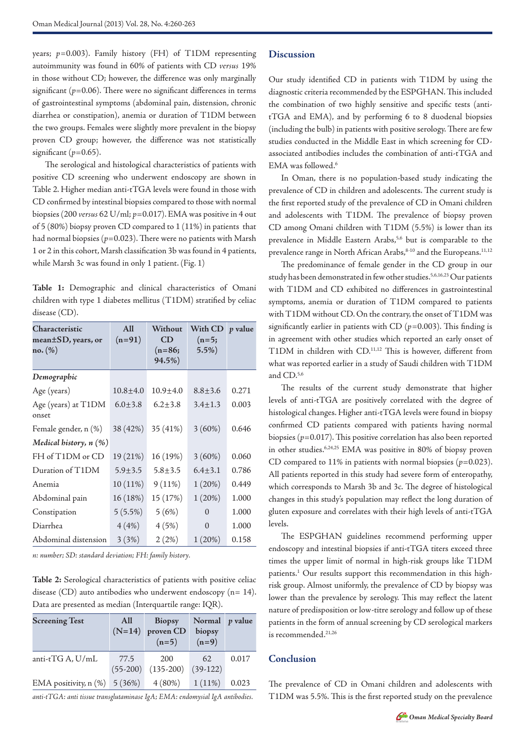years; *p=*0.003). Family history (FH) of T1DM representing autoimmunity was found in 60% of patients with CD *versus* 19% in those without CD; however, the difference was only marginally significant  $(p=0.06)$ . There were no significant differences in terms of gastrointestinal symptoms (abdominal pain, distension, chronic diarrhea or constipation), anemia or duration of T1DM between the two groups. Females were slightly more prevalent in the biopsy proven CD group; however, the difference was not statistically significant  $(p=0.65)$ .

The serological and histological characteristics of patients with positive CD screening who underwent endoscopy are shown in Table 2. Higher median anti-tTGA levels were found in those with CD confirmed by intestinal biopsies compared to those with normal biopsies (200 *versus* 62 U/ml; *p*=0.017). EMA was positive in 4 out of 5 (80%) biopsy proven CD compared to 1 (11%) in patients that had normal biopsies ( $p=0.023$ ). There were no patients with Marsh 1 or 2 in this cohort, Marsh classification 3b was found in 4 patients, while Marsh 3c was found in only 1 patient. (Fig. 1)

**Table 1:** Demographic and clinical characteristics of Omani children with type 1 diabetes mellitus (T1DM) stratified by celiac disease (CD).

| Characteristic<br>mean±SD, years, or<br>no. (%) | All<br>$(n=91)$ | Without<br>CD<br>$(n=86;$<br>94.5%) | With CD<br>$(n=5;$<br>5.5% | <i>p</i> value |
|-------------------------------------------------|-----------------|-------------------------------------|----------------------------|----------------|
| Demographic                                     |                 |                                     |                            |                |
| Age (years)                                     | $10.8 + 4.0$    | $10.9 + 4.0$                        | $8.8 \pm 3.6$              | 0.271          |
| Age (years) at T1DM<br>onset                    | $6.0 \pm 3.8$   | $6.2 + 3.8$                         | $3.4 \pm 1.3$              | 0.003          |
| Female gender, n (%)                            | 38 (42%)        | 35 (41%)                            | $3(60\%)$                  | 0.646          |
| Medical history, $n$ $(\%)$                     |                 |                                     |                            |                |
| FH of T1DM or CD                                | 19 (21%)        | 16 (19%)                            | $3(60\%)$                  | 0.060          |
| Duration of T1DM                                | $5.9 + 3.5$     | $5.8 + 3.5$                         | $6.4 \pm 3.1$              | 0.786          |
| Anemia                                          | $10(11\%)$      | $9(11\%)$                           | 1(20%)                     | 0.449          |
| Abdominal pain                                  | 16(18%)         | 15 (17%)                            | 1(20%)                     | 1.000          |
| Constipation                                    | $5(5.5\%)$      | 5(6%)                               | $\theta$                   | 1.000          |
| Diarrhea                                        | 4(4%)           | 4(5%)                               | $\Omega$                   | 1.000          |
| Abdominal distension                            | 3(3%)           | 2(2%)                               | 1(20%)                     | 0.158          |

*n: number; SD: standard deviation; FH: family history.*

**Table 2:** Serological characteristics of patients with positive celiac disease (CD) auto antibodies who underwent endoscopy (n= 14). Data are presented as median (Interquartile range: IQR).

| <b>Screening Test</b>            | All  | <b>Biopsy</b><br>$(N=14)$ proven CD<br>$(n=5)$ | Normal $p$ value<br>biopsy<br>$(n=9)$ |       |
|----------------------------------|------|------------------------------------------------|---------------------------------------|-------|
| anti-t $TGA$ , $U/mL$            | 77.5 | 200<br>$(55-200)$ $(135-200)$ $(39-122)$       | 62.                                   | 0.017 |
| EMA positivity, $n$ (%) $5(36%)$ |      | $4(80\%)$                                      | $1(11\%)$                             | 0.023 |

*anti-tTGA: anti tissue transglutaminase IgA; EMA: endomysial IgA antibodies.*

### **Discussion**

Our study identified CD in patients with T1DM by using the diagnostic criteria recommended by the ESPGHAN. This included the combination of two highly sensitive and specific tests (antitTGA and EMA), and by performing 6 to 8 duodenal biopsies (including the bulb) in patients with positive serology. There are few studies conducted in the Middle East in which screening for CDassociated antibodies includes the combination of anti-tTGA and EMA was followed. $6$ 

In Oman, there is no population-based study indicating the prevalence of CD in children and adolescents. The current study is the first reported study of the prevalence of CD in Omani children and adolescents with T1DM. The prevalence of biopsy proven CD among Omani children with T1DM (5.5%) is lower than its prevalence in Middle Eastern Arabs,<sup>5,6</sup> but is comparable to the prevalence range in North African Arabs,<sup>8-10</sup> and the Europeans.<sup>11,12</sup>

The predominance of female gender in the CD group in our study has been demonstrated in few other studies.5,6,16,23 Our patients with T1DM and CD exhibited no differences in gastrointestinal symptoms, anemia or duration of T1DM compared to patients with T1DM without CD. On the contrary, the onset of T1DM was significantly earlier in patients with CD (*p=*0.003). This finding is in agreement with other studies which reported an early onset of T1DM in children with CD.11,12 This is however, different from what was reported earlier in a study of Saudi children with T1DM and CD.5,6

The results of the current study demonstrate that higher levels of anti-tTGA are positively correlated with the degree of histological changes. Higher anti-tTGA levels were found in biopsy confirmed CD patients compared with patients having normal biopsies (*p*=0.017). This positive correlation has also been reported in other studies.6,24,25 EMA was positive in 80% of biopsy proven CD compared to 11% in patients with normal biopsies  $(p=0.023)$ . All patients reported in this study had severe form of enteropathy, which corresponds to Marsh 3b and 3c. The degree of histological changes in this study's population may reflect the long duration of gluten exposure and correlates with their high levels of anti-tTGA levels.

The ESPGHAN guidelines recommend performing upper endoscopy and intestinal biopsies if anti-tTGA titers exceed three times the upper limit of normal in high-risk groups like T1DM patients.<sup>1</sup> Our results support this recommendation in this highrisk group. Almost uniformly, the prevalence of CD by biopsy was lower than the prevalence by serology. This may reflect the latent nature of predisposition or low-titre serology and follow up of these patients in the form of annual screening by CD serological markers is recommended.<sup>21,26</sup>

## **Conclusion**

The prevalence of CD in Omani children and adolescents with T1DM was 5.5%. This is the first reported study on the prevalence